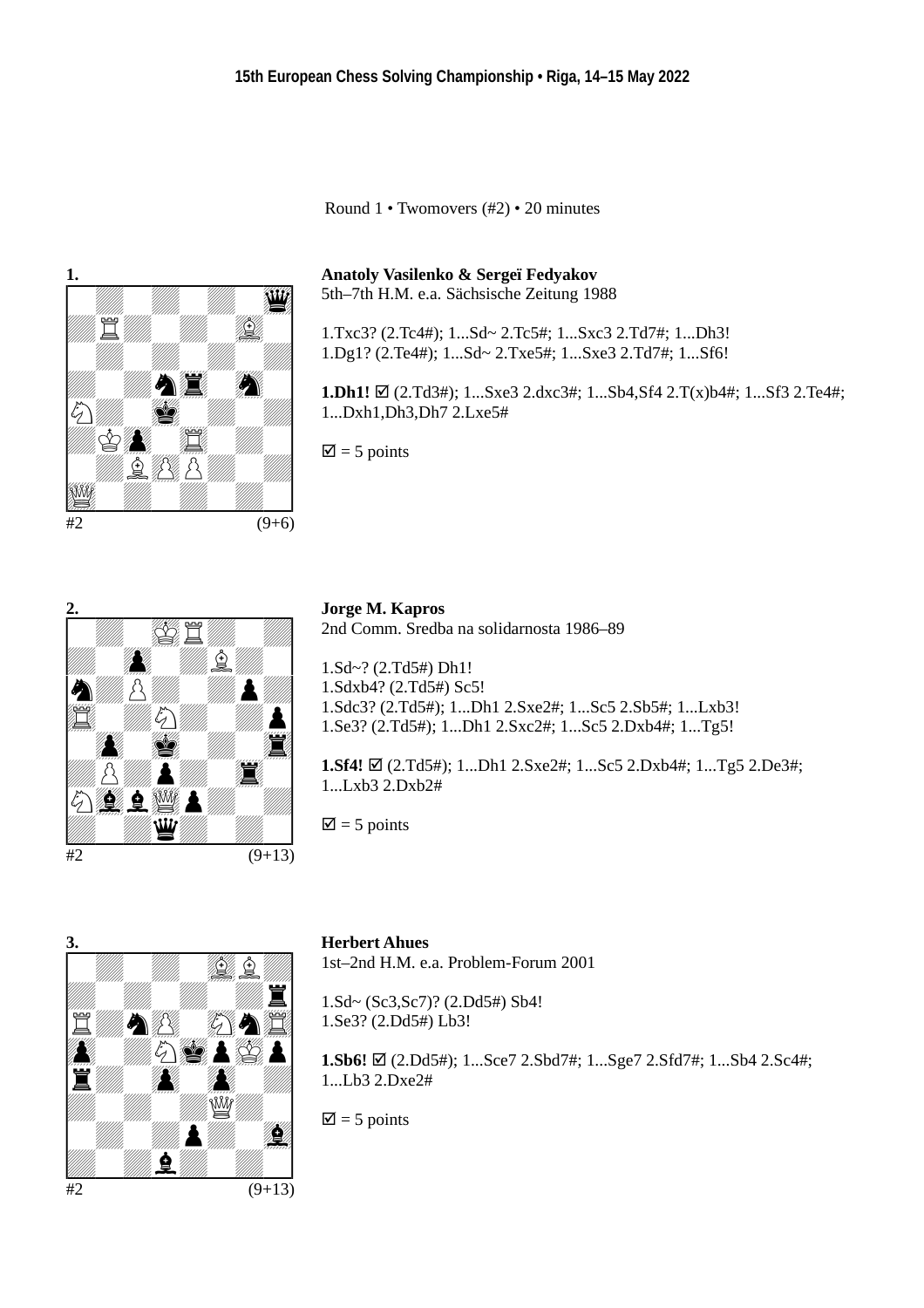Round 1 • Twomovers (#2) • 20 minutes



**Anatoly Vasilenko & Sergeï Fedyakov** 5th–7th H.M. e.a. Sächsische Zeitung 1988

1.Txc3? (2.Tc4#); 1...Sd~ 2.Tc5#; 1...Sxc3 2.Td7#; 1...Dh3! 1.Dg1? (2.Te4#); 1...Sd~ 2.Txe5#; 1...Sxe3 2.Td7#; 1...Sf6!

**1.Dh1!** (2.Td3#); 1...Sxe3 2.dxc3#; 1...Sb4,Sf4 2.T(x)b4#; 1...Sf3 2.Te4#; 1...Dxh1,Dh3,Dh7 2.Lxe5#

 $\overline{\mathbf{z}}$  = 5 points



**Jorge M. Kapros** 2nd Comm. Sredba na solidarnosta 1986–89

1.Sd~? (2.Td5#) Dh1! 1.Sdxb4? (2.Td5#) Sc5! 1.Sdc3? (2.Td5#); 1...Dh1 2.Sxe2#; 1...Sc5 2.Sb5#; 1...Lxb3! 1.Se3? (2.Td5#); 1...Dh1 2.Sxc2#; 1...Sc5 2.Dxb4#; 1...Tg5!

**1.Sf4!** (2.Td5#); 1...Dh1 2.Sxe2#; 1...Sc5 2.Dxb4#; 1...Tg5 2.De3#; 1...Lxb3 2.Dxb2#

 $\overline{2}$  = 5 points



### **Herbert Ahues**

1st–2nd H.M. e.a. Problem-Forum 2001

1.Sd~ (Sc3,Sc7)? (2.Dd5#) Sb4! 1.Se3? (2.Dd5#) Lb3!

**1.Sb6!** (2.Dd5#); 1...Sce7 2.Sbd7#; 1...Sge7 2.Sfd7#; 1...Sb4 2.Sc4#; 1...Lb3 2.Dxe2#

 $\overline{2}$  = 5 points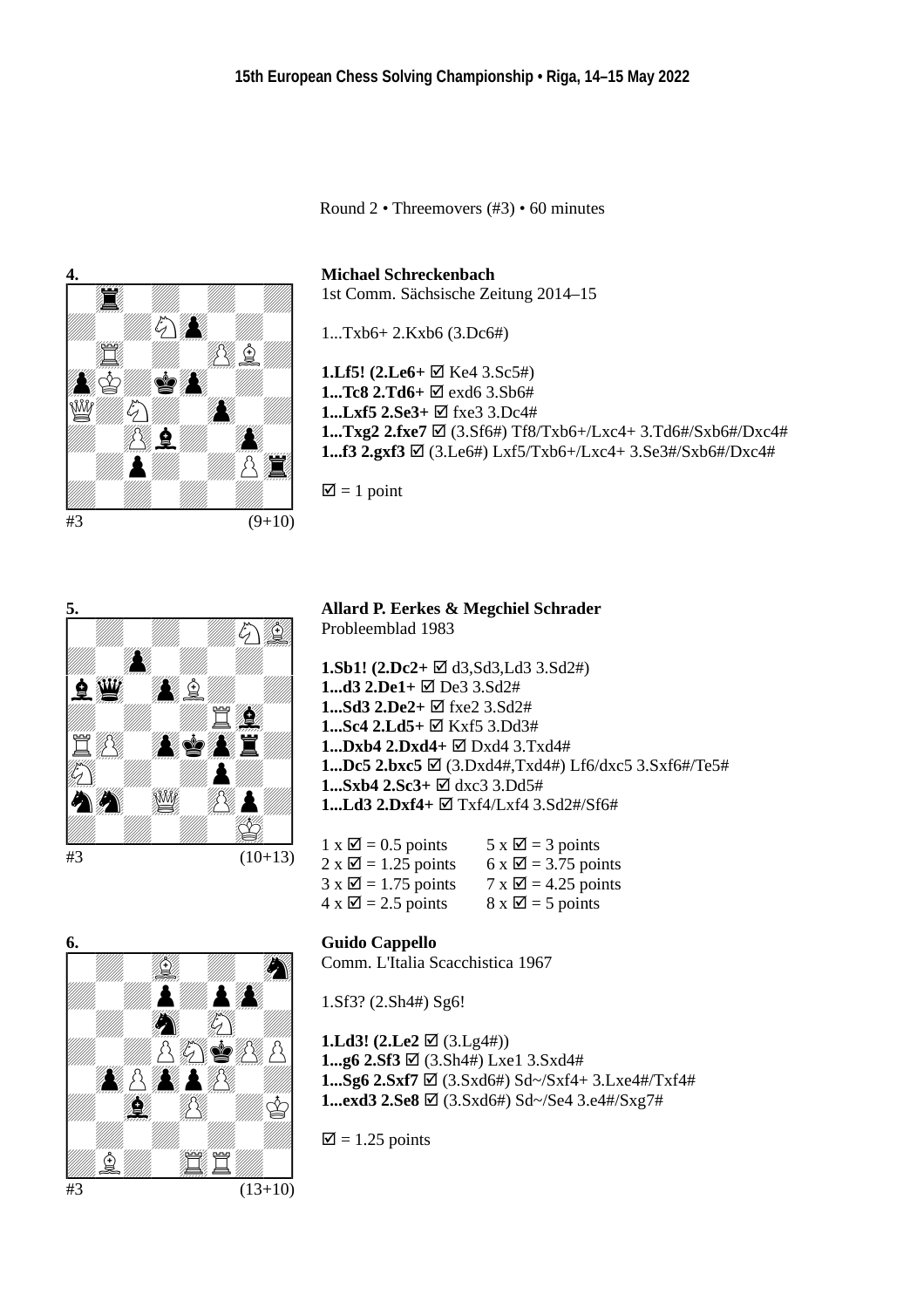Round 2 • Threemovers (#3) • 60 minutes



**Michael Schreckenbach** 1st Comm. Sächsische Zeitung 2014–15

1...Txb6+ 2.Kxb6 (3.Dc6#)

**1.Lf5! (2.Le6+** ⊠ Ke4 3.Sc5#) **1...Tc8 2.Td6+**  $\Phi$  exd6 3.Sb6# **1...Lxf5 2.Se3+**  $\boxtimes$  fxe3 3.Dc4# **1...Txg2 2.fxe7** (3.Sf6#) Tf8/Txb6+/Lxc4+ 3.Td6#/Sxb6#/Dxc4# **1...f3 2.gxf3** (3.Le6#) Lxf5/Txb6+/Lxc4+ 3.Se3#/Sxb6#/Dxc4#

 $\mathbf{\nabla}$  = 1 point



**Allard P. Eerkes & Megchiel Schrader** Probleemblad 1983

**1.Sb1! (2.Dc2+** d3,Sd3,Ld3 3.Sd2#) **1...d3 2.De1+**  $\boxtimes$  De3 3.Sd2# **1...Sd3 2.De2+** fxe2 3.Sd2# **1...Sc4 2.Ld5+** Kxf5 3.Dd3# **1...Dxb4 2.Dxd4+** Dxd4 3.Txd4# **1...Dc5 2.bxc5** (3.Dxd4#,Txd4#) Lf6/dxc5 3.Sxf6#/Te5# **1...Sxb4 2.Sc3+** dxc3 3.Dd5# **1...Ld3 2.Dxf4+** Txf4/Lxf4 3.Sd2#/Sf6#

| $1 \times \square$ = 0.5 points  | $5 \times \square$ = 3 points    |
|----------------------------------|----------------------------------|
| $2 \times \square$ = 1.25 points | $6 \times \square$ = 3.75 points |
| $3 \times \square$ = 1.75 points | $7 \times \square$ = 4.25 points |
| $4 \times \square$ = 2.5 points  | $8 \times \square$ = 5 points    |

### **Guido Cappello**

Comm. L'Italia Scacchistica 1967

1.Sf3? (2.Sh4#) Sg6!

**1.Ld3!** (2.Le2  $\boxtimes$  (3.Lg4#)) **1...g6 2.Sf3** (3.Sh4#) Lxe1 3.Sxd4# **1...Sg6 2.Sxf7** (3.Sxd6#) Sd~/Sxf4+ 3.Lxe4#/Txf4# **1...exd3 2.Se8** (3.Sxd6#) Sd~/Se4 3.e4#/Sxg7#

 $\overline{\mathbf{z}}$  = 1.25 points

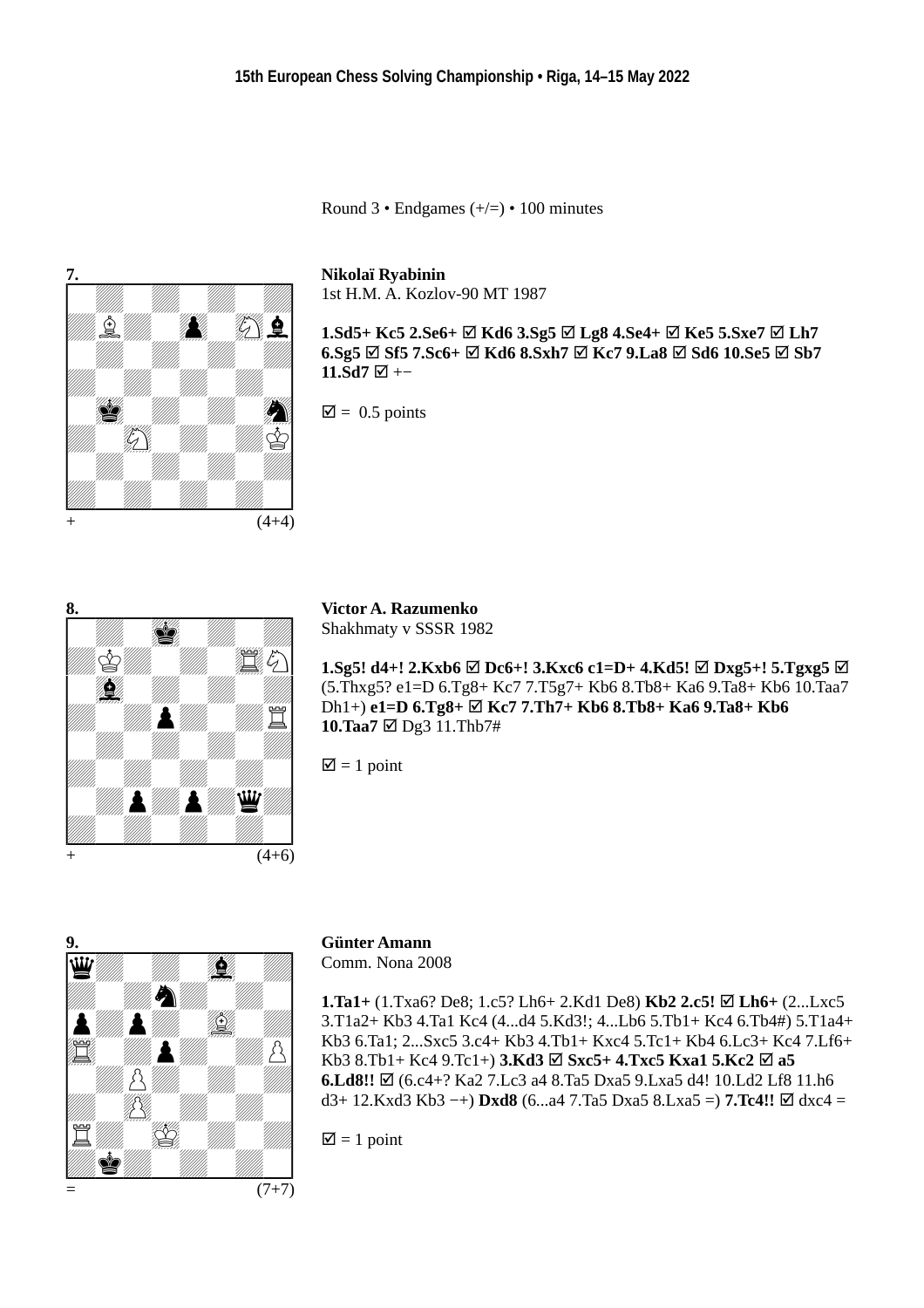Round  $3 \cdot$  Endgames  $(+/-) \cdot 100$  minutes



#### **Nikolaï Ryabinin**

1st H.M. A. Kozlov-90 MT 1987

**1.Sd5+ Kc5 2.Se6+**  $\boxtimes$  Kd6 3.Sg5  $\boxtimes$  Lg8 4.Se4+  $\boxtimes$  Ke5 5.Sxe7  $\boxtimes$  Lh7 **6.Sg5**  $\boxtimes$  **Sf5** 7.Sc6+  $\boxtimes$  **Kd6** 8.Sxh7  $\boxtimes$  **Kc7** 9.La8  $\boxtimes$  Sd6 10.Se5  $\boxtimes$  Sb7 **11.Sd7**  $\Box$  +−

 $\overline{\mathsf{M}}$  = 0.5 points



**Victor A. Razumenko** Shakhmaty v SSSR 1982

**1.Sg5! d4+! 2.Kxb6**  $\boxtimes$  Dc6+! 3.Kxc6 c1=D+ 4.Kd5!  $\boxtimes$  Dxg5+! 5.Tgxg5  $\boxtimes$ (5.Thxg5? e1=D 6.Tg8+ Kc7 7.T5g7+ Kb6 8.Tb8+ Ka6 9.Ta8+ Kb6 10.Taa7 Dh1+) **e1=D 6.Tg8+ Kc7 7.Th7+ Kb6 8.Tb8+ Ka6 9.Ta8+ Kb6 10.Taa7**  $\text{✓ Dg3 11.}$ Thb7#

 $\mathbf{\nabla}$  = 1 point



## **Günter Amann**

Comm. Nona 2008

**1.Ta1+** (1.Txa6? De8; 1.c5? Lh6+ 2.Kd1 De8) **Kb2 2.c5! Lh6+** (2...Lxc5 3.T1a2+ Kb3 4.Ta1 Kc4 (4...d4 5.Kd3!; 4...Lb6 5.Tb1+ Kc4 6.Tb4#) 5.T1a4+ Kb3 6.Ta1; 2...Sxc5 3.c4+ Kb3 4.Tb1+ Kxc4 5.Tc1+ Kb4 6.Lc3+ Kc4 7.Lf6+ Kb3 8.Tb1+ Kc4 9.Tc1+) **3.Kd3 Sxc5+ 4.Txc5 Kxa1 5.Kc2 a5 6.Ld8!!** Ø (6.c4+? Ka2 7.Lc3 a4 8.Ta5 Dxa5 9.Lxa5 d4! 10.Ld2 Lf8 11.h6 d3+ 12.Kxd3 Kb3 −+) **Dxd8** (6...a4 7.Ta5 Dxa5 8.Lxa5 =) **7.Tc4!!** dxc4 =

 $\overline{\mathcal{Q}} = 1$  point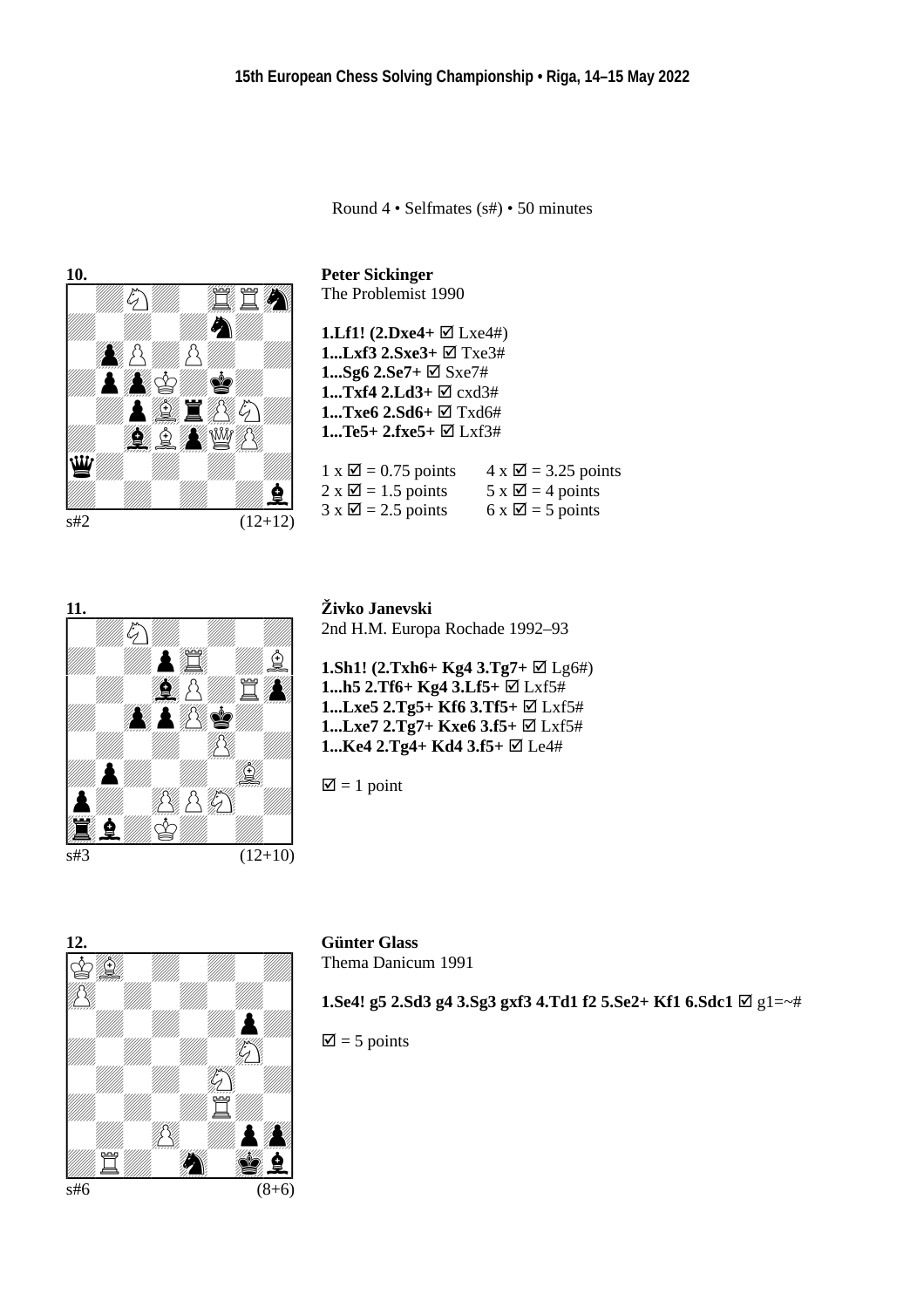Round 4 • Selfmates (s#) • 50 minutes



**Peter Sickinger** The Problemist 1990

**1.Lf1!** (2.Dxe4+ ⊠ Lxe4#) **1...Lxf3 2.Sxe3+** Txe3# **1...Sg6 2.Se7+** ⊠ Sxe7# **1...Txf4 2.Ld3+** cxd3# **1...Txe6 2.Sd6+**  $\boxtimes$  Txd6# **1...Te5+ 2.fxe5+** Lxf3#

| $1 \times \square$ = 0.75 points | $4 \times \square$ = 3.25 points |
|----------------------------------|----------------------------------|
| $2 \times \square$ = 1.5 points  | $5 \times \square$ = 4 points    |
| $3 \times \square$ = 2.5 points  | $6 \times \square$ = 5 points    |



**Živko Janevski** 2nd H.M. Europa Rochade 1992–93

**1.Sh1! (2.Txh6+ Kg4 3.Tg7+** ⊠ Lg6#) **1...h5 2.Tf6+ Kg4 3.Lf5+** Lxf5# **1...Lxe5 2.Tg5+ Kf6 3.Tf5+** Lxf5# **1...Lxe7 2.Tg7+ Kxe6 3.f5+** Lxf5# **1...Ke4 2.Tg4+ Kd4 3.f5+**  $\boxtimes$  Le4#

 $\mathbf{\nabla}$  = 1 point



# **Günter Glass**

Thema Danicum 1991

**1.Se4! g5 2.Sd3 g4 3.Sg3 gxf3 4.Td1 f2 5.Se2+ Kf1 6.Sdc1**  $\boxtimes$  g1=∼#

 $\overline{\mathsf{M}}$  = 5 points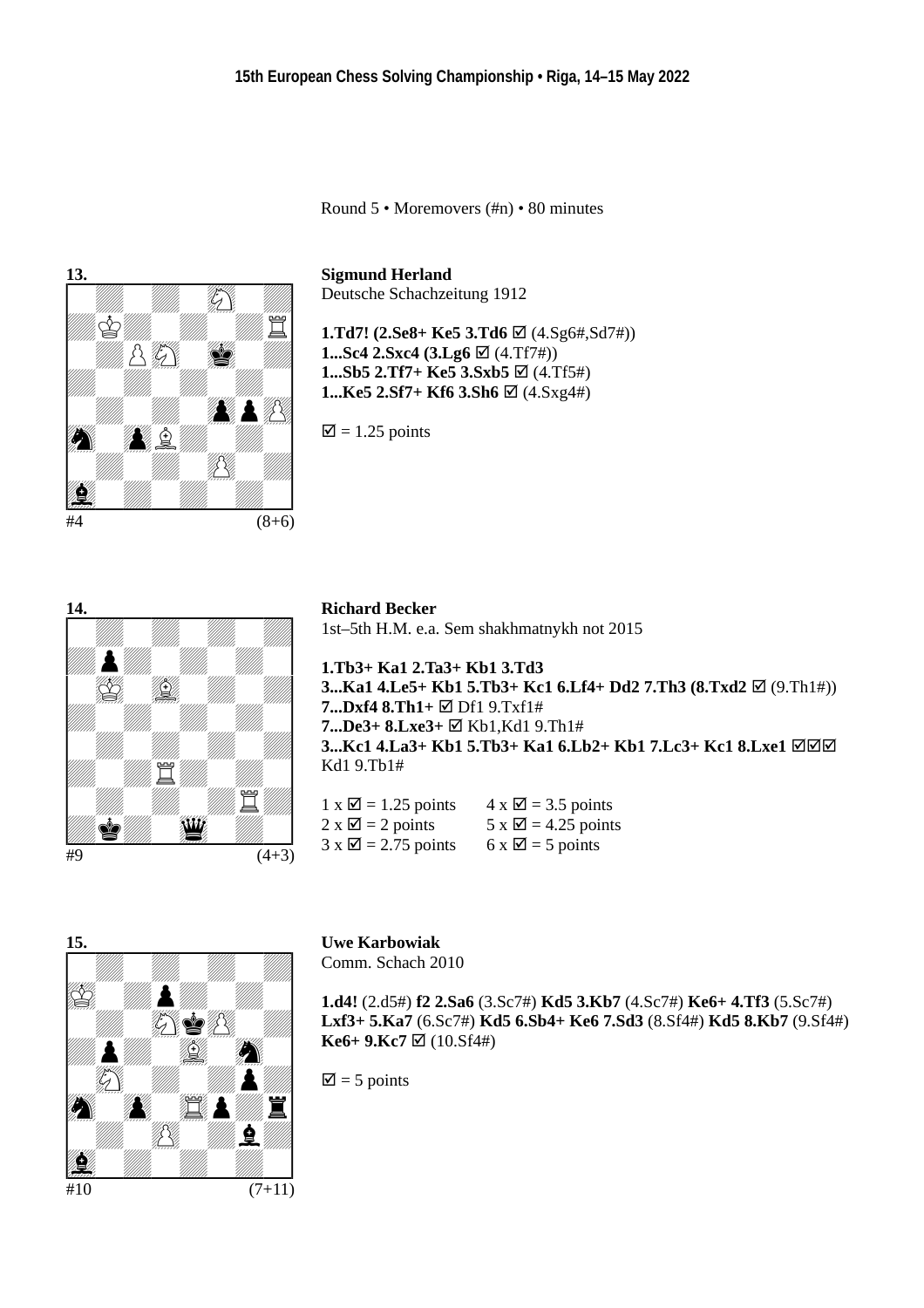Round 5 • Moremovers (#n) • 80 minutes



**Sigmund Herland**

Deutsche Schachzeitung 1912

**1.Td7! (2.Se8+ Ke5 3.Td6** ⊠ (4.Sg6#,Sd7#)) **1...Sc4 2.Sxc4 (3.Lg6**  $\boxtimes$  (4.Tf7#)) **1...Sb5 2.Tf7+ Ke5 3.Sxb5**  $\boxtimes$  (4.Tf5#) **1...Ke5 2.Sf7+ Kf6 3.Sh6**  $\boxtimes$  (4.Sxg4#)

 $\overline{\mathcal{Q}}$  = 1.25 points



**Richard Becker** 1st–5th H.M. e.a. Sem shakhmatnykh not 2015

**1.Tb3+ Ka1 2.Ta3+ Kb1 3.Td3 3...Ka1 4.Le5+ Kb1 5.Tb3+ Kc1 6.Lf4+ Dd2 7.Th3 (8.Txd2**  $\boxtimes$  (9.Th1#)) **7...Dxf4 8.Th1+**  $\text{□}$  Df1 9.Txf1# **7...De3+ 8.Lxe3+** Kb1,Kd1 9.Th1# **3...Kc1 4.La3+ Kb1 5.Tb3+ Ka1 6.Lb2+ Kb1 7.Lc3+ Kc1 8.Lxe1** Kd1 9.Tb1#

| $1 \times \square$ = 1.25 points | $4 \times \square$ = 3.5 points  |
|----------------------------------|----------------------------------|
| $2 \times \square$ = 2 points    | $5 \times \square$ = 4.25 points |
| $3 \times \square$ = 2.75 points | $6 \times \square$ = 5 points    |



**Uwe Karbowiak** Comm. Schach 2010

**1.d4!** (2.d5#) **f2 2.Sa6** (3.Sc7#) **Kd5 3.Kb7** (4.Sc7#) **Ke6+ 4.Tf3** (5.Sc7#) **Lxf3+ 5.Ka7** (6.Sc7#) **Kd5 6.Sb4+ Ke6 7.Sd3** (8.Sf4#) **Kd5 8.Kb7** (9.Sf4#)  $Ke6+9.Kc7 \boxtimes (10.5f4#)$ 

 $\overline{2}$  = 5 points